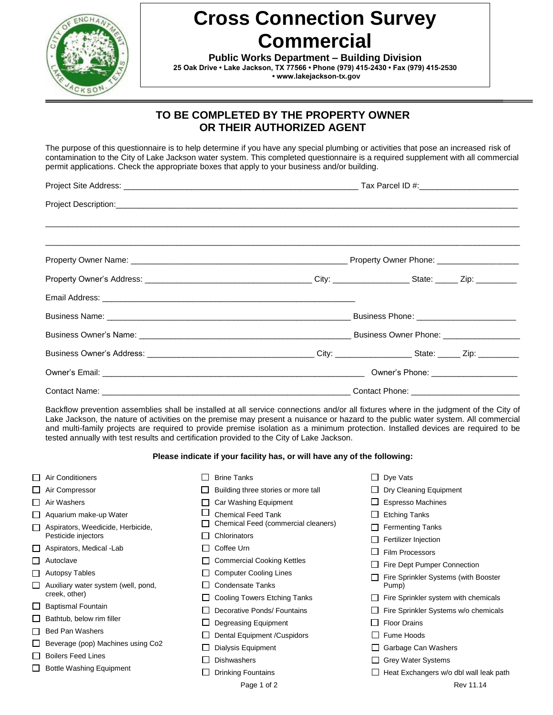

## **Cross Connection Survey Commercial**

**Public Works Department – Building Division 25 Oak Drive • Lake Jackson, TX 77566 • Phone (979) 415-2430 • Fax (979) 415-2530 • www.lakejackson-tx.gov**

## **TO BE COMPLETED BY THE PROPERTY OWNER OR THEIR AUTHORIZED AGENT**

The purpose of this questionnaire is to help determine if you have any special plumbing or activities that pose an increased risk of contamination to the City of Lake Jackson water system. This completed questionnaire is a required supplement with all commercial permit applications. Check the appropriate boxes that apply to your business and/or building.

| Owner's Phone: ______________________ |  |  |  |  |  |
|---------------------------------------|--|--|--|--|--|
|                                       |  |  |  |  |  |

Backflow prevention assemblies shall be installed at all service connections and/or all fixtures where in the judgment of the City of Lake Jackson, the nature of activities on the premise may present a nuisance or hazard to the public water system. All commercial and multi-family projects are required to provide premise isolation as a minimum protection. Installed devices are required to be tested annually with test results and certification provided to the City of Lake Jackson.

## **Please indicate if your facility has, or will have any of the following:**

|                | $\Box$ Air Conditioners                  | <b>Brine Tanks</b>                  | $\Box$ Dye Vats                             |
|----------------|------------------------------------------|-------------------------------------|---------------------------------------------|
|                | $\Box$ Air Compressor                    | Building three stories or more tall | $\Box$ Dry Cleaning Equipment               |
|                | $\Box$ Air Washers                       | Car Washing Equipment               | $\Box$ Espresso Machines                    |
|                | $\Box$ Aquarium make-up Water            | <b>Chemical Feed Tank</b>           | $\Box$ Etching Tanks                        |
|                | Aspirators, Weedicide, Herbicide,        | Chemical Feed (commercial cleaners) | $\Box$ Fermenting Tanks                     |
|                | Pesticide injectors                      | Chlorinators                        | $\Box$ Fertilizer Injection                 |
|                | $\Box$ Aspirators, Medical - Lab         | Coffee Urn                          | Film Processors                             |
| ΙI             | Autoclave                                | <b>Commercial Cooking Kettles</b>   | Fire Dept Pumper Connection                 |
| П              | <b>Autopsy Tables</b>                    | <b>Computer Cooling Lines</b>       | Fire Sprinkler Systems (with Booster        |
| $\blacksquare$ | Auxiliary water system (well, pond,      | <b>Condensate Tanks</b>             | Pump)                                       |
|                | creek, other)                            | Cooling Towers Etching Tanks        | $\Box$ Fire Sprinkler system with chemicals |
|                | □ Baptismal Fountain                     | Decorative Ponds/ Fountains         | $\Box$ Fire Sprinkler Systems w/o chemicals |
|                | $\Box$ Bathtub, below rim filler         | Degreasing Equipment                | <b>Floor Drains</b>                         |
|                | <b>Bed Pan Washers</b>                   | Dental Equipment / Cuspidors        | Fume Hoods                                  |
|                | $\Box$ Beverage (pop) Machines using Co2 | Dialysis Equipment                  | Garbage Can Washers                         |
|                | $\Box$ Boilers Feed Lines                | <b>Dishwashers</b>                  | $\Box$ Grey Water Systems                   |
| l I            | <b>Bottle Washing Equipment</b>          | <b>Drinking Fountains</b>           | Heat Exchangers w/o dbl wall leak path      |
|                |                                          | Page 1 of 2                         | Rev 11.14                                   |
|                |                                          |                                     |                                             |